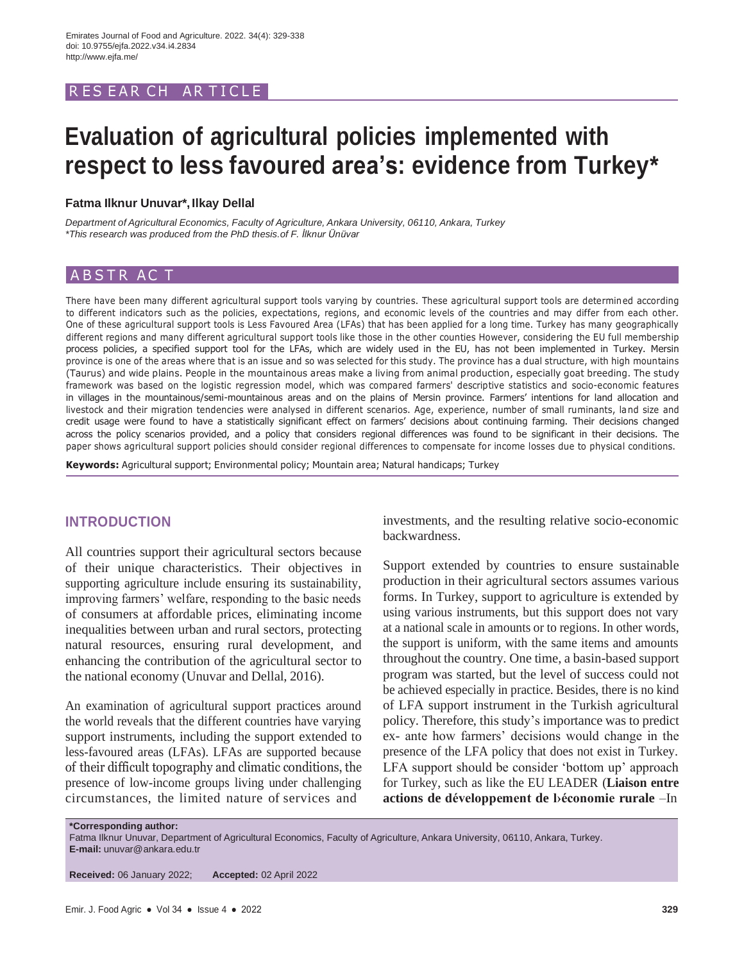## R ES EAR CH AR TICLE

# **Evaluation of agricultural policies implemented with respect to less favoured area's: evidence from Turkey\***

#### **Fatma Ilknur Unuvar\*, Ilkay Dellal**

*Department of Agricultural Economics, Faculty of Agriculture, Ankara University, 06110, Ankara, Turkey \*This research was produced from the PhD thesis.of F. İlknur Ünüvar*

## ABSTR ACT

There have been many different agricultural support tools varying by countries. These agricultural support tools are determined according to different indicators such as the policies, expectations, regions, and economic levels of the countries and may differ from each other. One of these agricultural support tools is Less Favoured Area (LFAs) that has been applied for a long time. Turkey has many geographically different regions and many different agricultural support tools like those in the other counties However, considering the EU full membership process policies, a specified support tool for the LFAs, which are widely used in the EU, has not been implemented in Turkey. Mersin province is one of the areas where that is an issue and so was selected for this study. The province has a dual structure, with high mountains (Taurus) and wide plains. People in the mountainous areas make a living from animal production, especially goat breeding. The study framework was based on the logistic regression model, which was compared farmers' descriptive statistics and socio-economic features in villages in the mountainous/semi-mountainous areas and on the plains of Mersin province. Farmers' intentions for land allocation and livestock and their migration tendencies were analysed in different scenarios. Age, experience, number of small ruminants, land size and credit usage were found to have a statistically significant effect on farmers' decisions about continuing farming. Their decisions changed across the policy scenarios provided, and a policy that considers regional differences was found to be significant in their decisions. The paper shows agricultural support policies should consider regional differences to compensate for income losses due to physical conditions.

**Keywords:** Agricultural support; Environmental policy; Mountain area; Natural handicaps; Turkey

## **INTRODUCTION**

All countries support their agricultural sectors because of their unique characteristics. Their objectives in supporting agriculture include ensuring its sustainability, improving farmers' welfare, responding to the basic needs of consumers at affordable prices, eliminating income inequalities between urban and rural sectors, protecting natural resources, ensuring rural development, and enhancing the contribution of the agricultural sector to the national economy (Unuvar and Dellal, 2016).

An examination of agricultural support practices around the world reveals that the different countries have varying support instruments, including the support extended to less-favoured areas (LFAs). LFAs are supported because of their difficult topography and climatic conditions, the presence of low-income groups living under challenging circumstances, the limited nature of services and

investments, and the resulting relative socio-economic backwardness.

Support extended by countries to ensure sustainable production in their agricultural sectors assumes various forms. In Turkey, support to agriculture is extended by using various instruments, but this support does not vary at a national scale in amounts or to regions. In other words, the support is uniform, with the same items and amounts throughout the country. One time, a basin-based support program was started, but the level of success could not be achieved especially in practice. Besides, there is no kind of LFA support instrument in the Turkish agricultural policy. Therefore, this study's importance was to predict ex- ante how farmers' decisions would change in the presence of the LFA policy that does not exist in Turkey. LFA support should be consider 'bottom up' approach for Turkey, such as like the EU LEADER (**Liaison entre actions de développement de lݎconomie rurale** –In

**\*Corresponding author:**

Fatma Ilknur Unuvar, Department of Agricultural Economics, Faculty of Agriculture, Ankara University, 06110, Ankara, Turkey. **E-mail:** [unuvar@ankara.edu.tr](mailto:unuvar@ankara.edu.tr)

**Received:** 06 January 2022; **Accepted:** 02 April 2022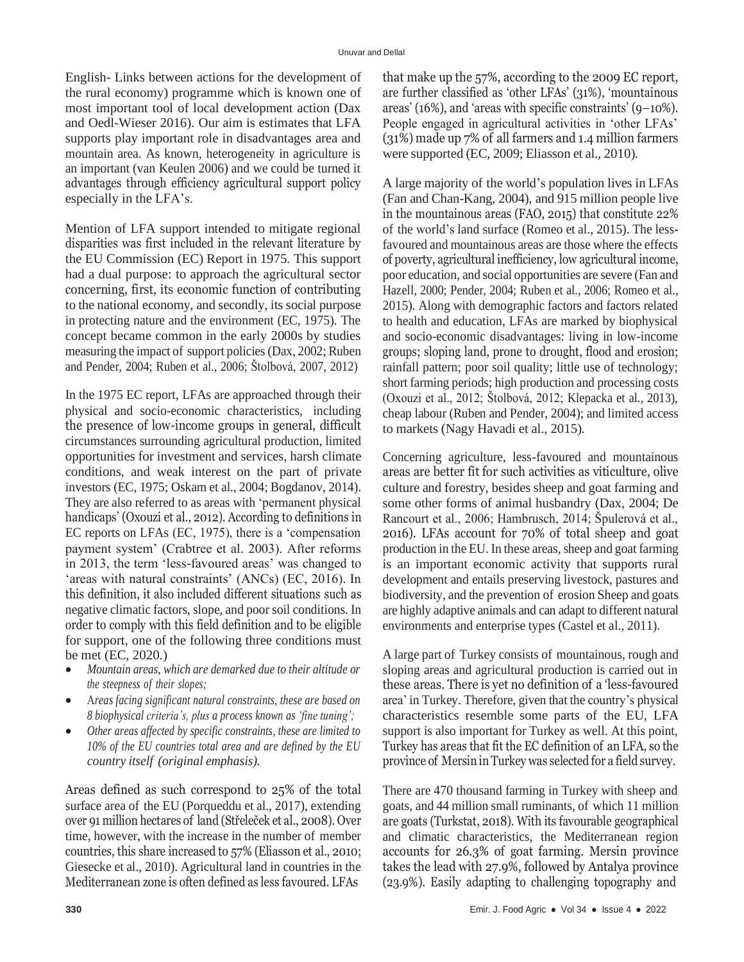English- Links between actions for the development of the rural economy) programme which is known one of most important tool of local development action (Dax and Oedl-Wieser 2016). Our aim is estimates that LFA supports play important role in disadvantages area and mountain area. As known, heterogeneity in agriculture is an important (van Keulen 2006) and we could be turned it advantages through efficiency agricultural support policy especially in the LFA's.

Mention of LFA support intended to mitigate regional disparities was first included in the relevant literature by the EU Commission (EC) Report in 1975. This support had a dual purpose: to approach the agricultural sector concerning, first, its economic function of contributing to the national economy, and secondly, its social purpose in protecting nature and the environment (EC, 1975). The concept became common in the early 2000s by studies measuring the impact of support policies(Dax, 2002; Ruben and Pender, 2004; Ruben et al., 2006; Štolbová, 2007, 2012)

In the 1975 EC report, LFAs are approached through their physical and socio-economic characteristics, including the presence of low-income groups in general, difficult circumstances surrounding agricultural production, limited opportunities for investment and services, harsh climate conditions, and weak interest on the part of private investors (EC, 1975; Oskam et al., 2004; Bogdanov, 2014). They are also referred to as areas with 'permanent physical handicaps' (Oxouzi et al., 2012). According to definitions in EC reports on LFAs (EC, 1975), there is a 'compensation payment system' (Crabtree et al. 2003). After reforms in 2013, the term 'less-favoured areas' was changed to 'areas with natural constraints' (ANCs) (EC, 2016). In this definition, it also included different situations such as negative climatic factors, slope, and poor soil conditions. In order to comply with this field definition and to be eligible for support, one of the following three conditions must be met (EC, 2020.)

- *Mountain areas, which are demarked due to their altitude or the steepness of their slopes;*
- *reas facing significant natural constraints, these are based on 8 biophysical criteria's, plus a process known as 'fine tuning';*
- *Other areas affected by specific constraints, these are limited to 10% of the EU countries total area and are defined by the EU country itself (original emphasis).*

Areas defined as such correspond to 25% of the total surface area of the EU (Porqueddu et al., 2017), extending over 91 million hectares of land (Střeleček et al., 2008). Over time, however, with the increase in the number of member countries, this share increased to 57% (Eliasson et al., 2010; Giesecke et al., 2010). Agricultural land in countries in the Mediterranean zone is often defined as less favoured. LFAs

that make up the 57%, according to the 2009 EC report, are further classified as 'other LFAs' (31%), 'mountainous areas' (16%), and 'areas with specific constraints' (9–10%). People engaged in agricultural activities in 'other LFAs' (31%) made up 7% of all farmers and 1.4 million farmers were supported (EC, 2009; Eliasson et al., 2010).

A large majority of the world's population lives in LFAs (Fan and Chan-Kang, 2004), and 915 million people live in the mountainous areas (FAO, 2015) that constitute 22% of the world's land surface (Romeo et al., 2015). The lessfavoured and mountainous areas are those where the effects of poverty, agricultural inefficiency, low agricultural income, poor education, and social opportunities are severe (Fan and Hazell, 2000; Pender, 2004; Ruben et al., 2006; Romeo et al., 2015). Along with demographic factors and factors related to health and education, LFAs are marked by biophysical and socio-economic disadvantages: living in low-income groups; sloping land, prone to drought, flood and erosion; rainfall pattern; poor soil quality; little use of technology; short farming periods; high production and processing costs (Oxouzi et al., 2012; Štolbová, 2012; Klepacka et al., 2013), cheap labour (Ruben and Pender, 2004); and limited access to markets (Nagy Havadi et al., 2015).

Concerning agriculture, less-favoured and mountainous areas are better fit for such activities as viticulture, olive culture and forestry, besides sheep and goat farming and some other forms of animal husbandry (Dax, 2004; De Rancourt et al., 2006; Hambrusch, 2014; Špulerová et al., 2016). LFAs account for 70% of total sheep and goat production in the EU. In these areas, sheep and goat farming is an important economic activity that supports rural development and entails preserving livestock, pastures and biodiversity, and the prevention of erosion Sheep and goats are highly adaptive animals and can adapt to different natural environments and enterprise types (Castel et al., 2011).

A large part of Turkey consists of mountainous, rough and sloping areas and agricultural production is carried out in these areas. There is yet no definition of a 'less-favoured area' in Turkey. Therefore, given that the country's physical characteristics resemble some parts of the EU, LFA support is also important for Turkey as well. At this point, Turkey has areas that fit the EC definition of an LFA, so the province of Mersin in Turkey was selected for a field survey.

There are 470 thousand farming in Turkey with sheep and goats, and 44 million small ruminants, of which 11 million are goats (Turkstat, 2018). With its favourable geographical and climatic characteristics, the Mediterranean region accounts for 26.3% of goat farming. Mersin province takes the lead with 27.9%, followed by Antalya province (23.9%). Easily adapting to challenging topography and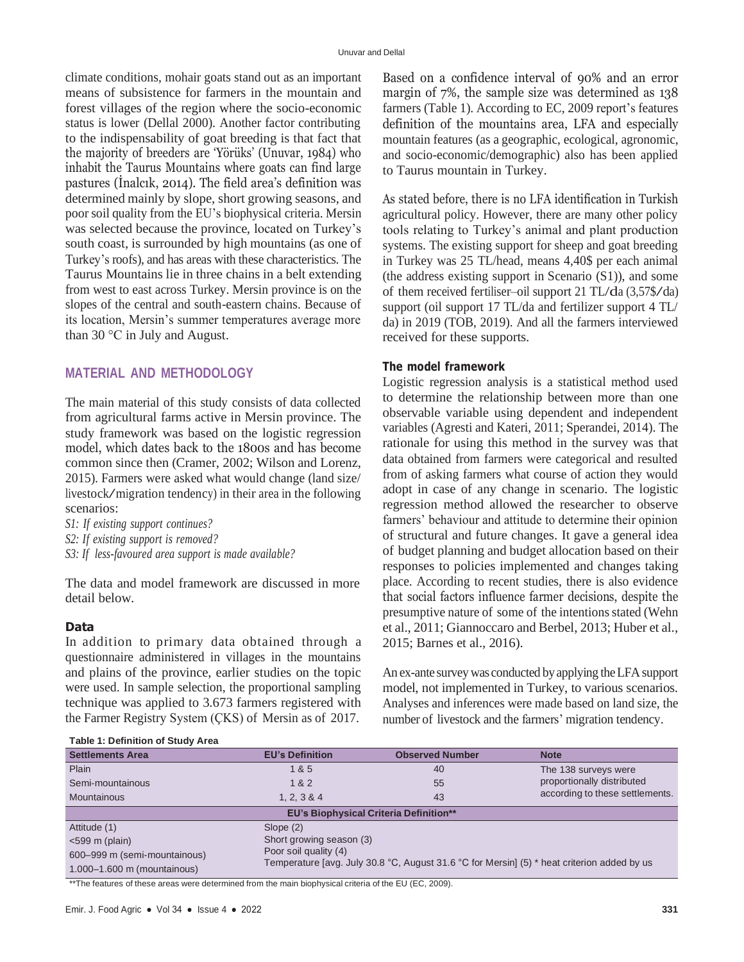climate conditions, mohair goats stand out as an important means of subsistence for farmers in the mountain and forest villages of the region where the socio-economic status is lower (Dellal 2000). Another factor contributing to the indispensability of goat breeding is that fact that the majority of breeders are 'Yörüks' (Unuvar, 1984) who inhabit the Taurus Mountains where goats can find large pastures (İnalcık, 2014). The field area's definition was determined mainly by slope, short growing seasons, and poor soil quality from the EU's biophysical criteria. Mersin was selected because the province, located on Turkey's south coast, is surrounded by high mountains (as one of Turkey's roofs), and has areas with these characteristics. The Taurus Mountains lie in three chains in a belt extending from west to east across Turkey. Mersin province is on the slopes of the central and south-eastern chains. Because of its location, Mersin's summer temperatures average more than 30 °C in July and August.

## **MATERIAL AND METHODOLOGY**

The main material of this study consists of data collected from agricultural farms active in Mersin province. The study framework was based on the logistic regression model, which dates back to the 1800s and has become common since then (Cramer, 2002; Wilson and Lorenz, 2015). Farmers were asked what would change (land size/ livestock/migration tendency) in their area in the following scenarios:

- *S1: If existing support continues?*
- *S2: If existing support is removed?*
- *S3: If less-favoured area support is made available?*

The data and model framework are discussed in more detail below.

#### **Data**

In addition to primary data obtained through a questionnaire administered in villages in the mountains and plains of the province, earlier studies on the topic were used. In sample selection, the proportional sampling technique was applied to 3.673 farmers registered with the Farmer Registry System (ÇKS) of Mersin as of 2017. Based on a confidence interval of 90% and an error margin of 7%, the sample size was determined as 138 farmers (Table 1). According to EC, 2009 report's features definition of the mountains area, LFA and especially mountain features (as a geographic, ecological, agronomic, and socio-economic/demographic) also has been applied to Taurus mountain in Turkey.

As stated before, there is no LFA identification in Turkish agricultural policy. However, there are many other policy tools relating to Turkey's animal and plant production systems. The existing support for sheep and goat breeding in Turkey was 25 TL/head, means 4,40\$ per each animal (the address existing support in Scenario (S1)), and some of them received fertiliser–oil support <sup>21</sup> TL/da (3,57\$/da) support (oil support 17 TL/da and fertilizer support 4 TL/ da) in 2019 (TOB, 2019). And all the farmers interviewed received for these supports.

#### **The model framework**

Logistic regression analysis is a statistical method used to determine the relationship between more than one observable variable using dependent and independent variables (Agresti and Kateri, 2011; Sperandei, 2014). The rationale for using this method in the survey was that data obtained from farmers were categorical and resulted from of asking farmers what course of action they would adopt in case of any change in scenario. The logistic regression method allowed the researcher to observe farmers' behaviour and attitude to determine their opinion of structural and future changes. It gave a general idea of budget planning and budget allocation based on their responses to policies implemented and changes taking place. According to recent studies, there is also evidence that social factors influence farmer decisions, despite the presumptive nature of some of the intentions stated (Wehn et al., 2011; Giannoccaro and Berbel, 2013; Huber et al., 2015; Barnes et al., 2016).

An ex-ante survey was conducted by applying the LFA support model, not implemented in Turkey, to various scenarios. Analyses and inferences were made based on land size, the number of livestock and the farmers' migration tendency.

| Table 1: Definition of Study Area |                                                                                                                      |                                               |                                 |  |  |  |
|-----------------------------------|----------------------------------------------------------------------------------------------------------------------|-----------------------------------------------|---------------------------------|--|--|--|
| <b>Settlements Area</b>           | <b>EU's Definition</b>                                                                                               | <b>Observed Number</b>                        | <b>Note</b>                     |  |  |  |
| Plain                             | 1 & 5                                                                                                                | 40                                            | The 138 surveys were            |  |  |  |
| Semi-mountainous                  | 1 & 2                                                                                                                | 55                                            | proportionally distributed      |  |  |  |
| <b>Mountainous</b>                | 1, 2, 3 & 4                                                                                                          | 43                                            | according to these settlements. |  |  |  |
|                                   |                                                                                                                      | <b>EU's Biophysical Criteria Definition**</b> |                                 |  |  |  |
| Attitude (1)                      | Slope $(2)$                                                                                                          |                                               |                                 |  |  |  |
| $<$ 599 m (plain)                 | Short growing season (3)                                                                                             |                                               |                                 |  |  |  |
| 600–999 m (semi-mountainous)      | Poor soil quality (4)<br>Temperature [avg. July 30.8 °C, August 31.6 °C for Mersin] (5) * heat criterion added by us |                                               |                                 |  |  |  |
| 1.000-1.600 m (mountainous)       |                                                                                                                      |                                               |                                 |  |  |  |

\*\*The features of these areas were determined from the main biophysical criteria of the EU (EC, 2009).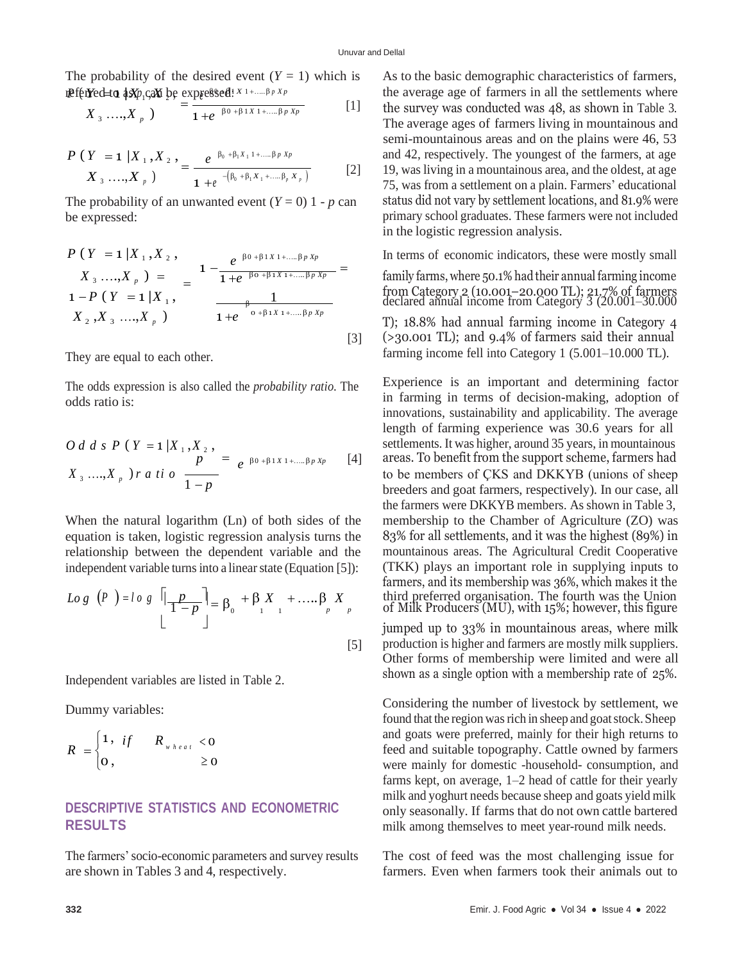[3]

The probability of the desired event  $(Y = 1)$  which is  $\texttt{uPf}(\texttt{rYe} \rightarrow \texttt{1} \texttt{w} \rightarrow \texttt{w} \rightarrow \texttt{w} \rightarrow \texttt{w} \rightarrow \texttt{w} \rightarrow \texttt{w} \rightarrow \texttt{w} \rightarrow \texttt{w} \rightarrow \texttt{w} \rightarrow \texttt{w} \rightarrow \texttt{w} \rightarrow \texttt{w} \rightarrow \texttt{w} \rightarrow \texttt{w} \rightarrow \texttt{w} \rightarrow \texttt{w} \rightarrow \texttt{w} \rightarrow \texttt{w} \rightarrow \texttt{w} \rightarrow \texttt{w} \rightarrow \texttt{w} \rightarrow \texttt{w} \rightarrow \texttt{w} \rightarrow \texttt{w} \rightarrow \texttt{w$ 

$$
X_3 \dots, X_p \quad \sum_{p=1}^{p+1} \frac{1}{1+e^{-\beta_0+\beta_1 x_1 + \dots + \beta_p x_p}} \qquad [1]
$$

$$
\frac{P(Y = 1 | X_1, X_2)}{X_3 \dots, X_p} = \frac{e^{-\beta_0 + \beta_1 X_1 + \dots + \beta_p X_p}}{1 + e^{-(\beta_0 + \beta_1 X_1 + \dots + \beta_p X_p)}} \tag{2}
$$

The probability of an unwanted event  $(Y = 0)$  1 - *p* can be expressed:

$$
P(Y = 1 | X_1, X_2, \nX_3, ..., X_p) = \n\begin{cases} \n1 - \frac{e^{-\beta 0 + \beta 1 X 1 + .... \beta p X p}}{1 + e^{-\beta 0 + \beta 1 X 1 + .... \beta p X p}} = \\
1 - P(Y = 1 | X_1, \n\end{cases}
$$
\n
$$
\frac{1}{X_2, X_3, ..., X_p} \n\begin{cases} \n1 + e^{-\beta 0 + \beta 1 X 1 + .... \beta p X p} \\
1 + e^{-\beta 0 + \beta 1 X 1 + .... \beta p X p}\n\end{cases}
$$

They are equal to each other.

The odds expression is also called the *probability ratio*. The odds ratio is:

$$
O\,d\,d\,s\,P\,\left(\,Y\,=1\,\big|X_{\,1}\,,X_{\,2}\,\right)\,\\
P\qquad=\,e^{\,\beta 0\,+\beta 1\,X\,1\,+\,\ldots\,\beta\,p\,Xp}\qquad[4]
$$
\n
$$
X_{\,3}\,\ldots\,,X_{\,p}\,\right)\,r\,a\,ti\,o\,\frac{p}{1-p}
$$

When the natural logarithm (Ln) of both sides of the equation is taken, logistic regression analysis turns the relationship between the dependent variable and the independent variable turns into a linear state (Equation [5]):

$$
Log(P) = log \left[ \frac{p}{1-p} \right] = \beta_0 + \beta_1 X_1 + \dots + \beta_p X_p
$$
  
\n[5]

Independent variables are listed in Table 2.

Dummy variables:

$$
R = \begin{cases} 1, & \text{if } R_{\frac{w}{\sqrt{R}}\text{ and } 0} < 0 \\ 0, & \text{if } 0 \end{cases}
$$

# **DESCRIPTIVE STATISTICS AND ECONOMETRIC RESULTS**

The farmers'socio-economic parameters and survey results are shown in Tables 3 and 4, respectively.

As to the basic demographic characteristics of farmers, the average age of farmers in all the settlements where the survey was conducted was 48, as shown in Table 3. The average ages of farmers living in mountainous and semi-mountainous areas and on the plains were 46, 53 and 42, respectively. The youngest of the farmers, at age [2] 19, was living in a mountainous area, and the oldest, at age 75, was from a settlement on a plain. Farmers' educational status did not vary by settlement locations, and 81.9% were primary school graduates. These farmers were not included in the logistic regression analysis.

In terms of economic indicators, these were mostly small

family farms, where 50.1% had their annual farming income from Category 2 (10.001–20.000 TL); 21.7% of farmers declared annual income from Category 3 (20.001–30.000

T); 18.8% had annual farming income in Category 4 (>30.001 TL); and 9.4% of farmers said their annual farming income fell into Category 1 (5.001–10.000 TL).

Experience is an important and determining factor in farming in terms of decision-making, adoption of innovations, sustainability and applicability. The average length of farming experience was 30.6 years for all settlements. It was higher, around 35 years, in mountainous areas. To benefit from the support scheme, farmers had to be members of ÇKS and DKKYB (unions of sheep breeders and goat farmers, respectively). In our case, all the farmers were DKKYB members. As shown in Table 3, membership to the Chamber of Agriculture (ZO) was 83% for all settlements, and it was the highest (89%) in mountainous areas. The Agricultural Credit Cooperative (TKK) plays an important role in supplying inputs to farmers, and its membership was 36%, which makes it the  $\left|\frac{p}{1-p}\right| = \beta_0 + \beta_1 X_1 + \dots + \beta_p X_p$  third preferred organisation. The fourth was the Union of Milk Producers (MU), with 15%; however, this figure jumped up to 33% in mountainous areas, where milk production is higher and farmers are mostly milk suppliers.

Other forms of membership were limited and were all shown as a single option with a membership rate of 25%.

Considering the number of livestock by settlement, we found that the region was rich in sheep and goat stock. Sheep and goats were preferred, mainly for their high returns to feed and suitable topography. Cattle owned by farmers were mainly for domestic -household- consumption, and farms kept, on average, 1–2 head of cattle for their yearly milk and yoghurt needs because sheep and goats yield milk only seasonally. If farms that do not own cattle bartered milk among themselves to meet year-round milk needs.

The cost of feed was the most challenging issue for farmers. Even when farmers took their animals out to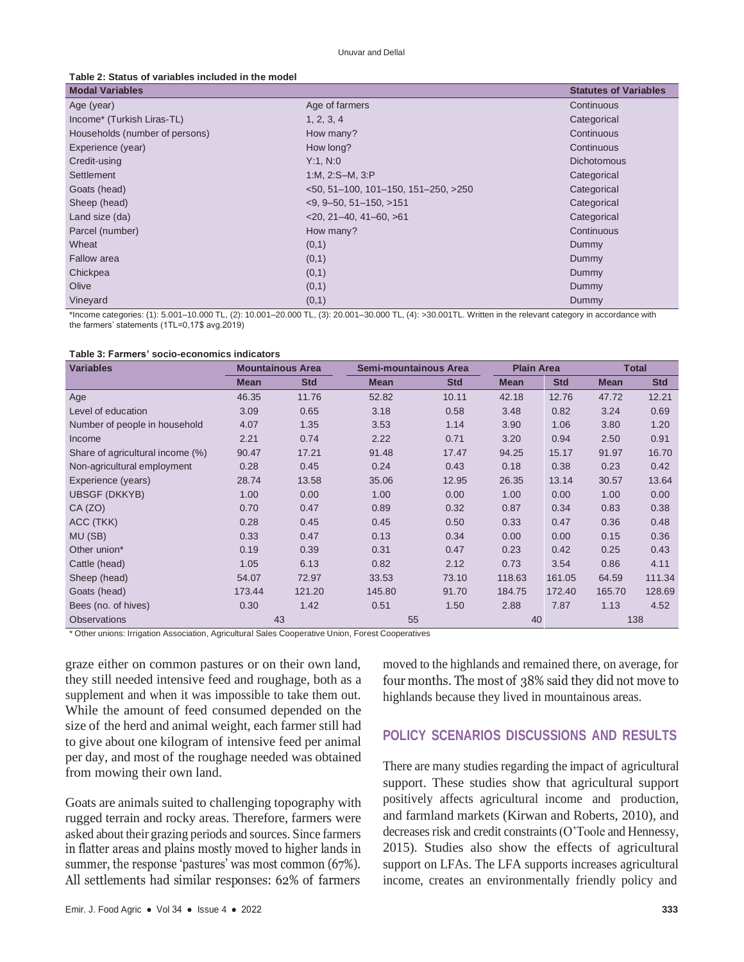| <b>Modal Variables</b>         |                                      | <b>Statutes of Variables</b> |
|--------------------------------|--------------------------------------|------------------------------|
| Age (year)                     | Age of farmers                       | Continuous                   |
| Income* (Turkish Liras-TL)     | 1, 2, 3, 4                           | Categorical                  |
| Households (number of persons) | How many?                            | Continuous                   |
| Experience (year)              | How long?                            | Continuous                   |
| Credit-using                   | Y:1, N:0                             | <b>Dichotomous</b>           |
| Settlement                     | 1:M, 2:S-M, 3:P                      | Categorical                  |
| Goats (head)                   | $50, 51-100, 101-150, 151-250, >250$ | Categorical                  |
| Sheep (head)                   | $<$ 9, 9–50, 51–150, >151            | Categorical                  |
| Land size (da)                 | $<$ 20, 21–40, 41–60, $>$ 61         | Categorical                  |
| Parcel (number)                | How many?                            | Continuous                   |
| Wheat                          | (0,1)                                | Dummy                        |
| <b>Fallow</b> area             | (0,1)                                | Dummy                        |
| Chickpea                       | (0,1)                                | Dummy                        |
| Olive                          | (0,1)                                | Dummy                        |
| Vineyard                       | (0,1)                                | Dummy                        |

\*Income categories: (1): 5.001–10.000 TL, (2): 10.001–20.000 TL, (3): 20.001–30.000 TL, (4): >30.001TL. Written in the relevant category in accordance with the farmers' statements (1TL=0,17\$ avg.2019)

| <b>Variables</b>                 | <b>Mountainous Area</b> |            |             | Semi-mountainous Area |             | <b>Plain Area</b> |             | <b>Total</b> |  |
|----------------------------------|-------------------------|------------|-------------|-----------------------|-------------|-------------------|-------------|--------------|--|
|                                  | <b>Mean</b>             | <b>Std</b> | <b>Mean</b> | <b>Std</b>            | <b>Mean</b> | <b>Std</b>        | <b>Mean</b> | <b>Std</b>   |  |
| Age                              | 46.35                   | 11.76      | 52.82       | 10.11                 | 42.18       | 12.76             | 47.72       | 12.21        |  |
| Level of education               | 3.09                    | 0.65       | 3.18        | 0.58                  | 3.48        | 0.82              | 3.24        | 0.69         |  |
| Number of people in household    | 4.07                    | 1.35       | 3.53        | 1.14                  | 3.90        | 1.06              | 3.80        | 1.20         |  |
| Income                           | 2.21                    | 0.74       | 2.22        | 0.71                  | 3.20        | 0.94              | 2.50        | 0.91         |  |
| Share of agricultural income (%) | 90.47                   | 17.21      | 91.48       | 17.47                 | 94.25       | 15.17             | 91.97       | 16.70        |  |
| Non-agricultural employment      | 0.28                    | 0.45       | 0.24        | 0.43                  | 0.18        | 0.38              | 0.23        | 0.42         |  |
| Experience (years)               | 28.74                   | 13.58      | 35.06       | 12.95                 | 26.35       | 13.14             | 30.57       | 13.64        |  |
| <b>UBSGF (DKKYB)</b>             | 1.00                    | 0.00       | 1.00        | 0.00                  | 1.00        | 0.00              | 1.00        | 0.00         |  |
| CA (ZO)                          | 0.70                    | 0.47       | 0.89        | 0.32                  | 0.87        | 0.34              | 0.83        | 0.38         |  |
| ACC (TKK)                        | 0.28                    | 0.45       | 0.45        | 0.50                  | 0.33        | 0.47              | 0.36        | 0.48         |  |
| MU (SB)                          | 0.33                    | 0.47       | 0.13        | 0.34                  | 0.00        | 0.00              | 0.15        | 0.36         |  |
| Other union*                     | 0.19                    | 0.39       | 0.31        | 0.47                  | 0.23        | 0.42              | 0.25        | 0.43         |  |
| Cattle (head)                    | 1.05                    | 6.13       | 0.82        | 2.12                  | 0.73        | 3.54              | 0.86        | 4.11         |  |
| Sheep (head)                     | 54.07                   | 72.97      | 33.53       | 73.10                 | 118.63      | 161.05            | 64.59       | 111.34       |  |
| Goats (head)                     | 173.44                  | 121.20     | 145.80      | 91.70                 | 184.75      | 172.40            | 165.70      | 128.69       |  |
| Bees (no. of hives)              | 0.30                    | 1.42       | 0.51        | 1.50                  | 2.88        | 7.87              | 1.13        | 4.52         |  |
| <b>Observations</b>              |                         | 43         | 55          |                       | 40          |                   |             | 138          |  |

\* Other unions: Irrigation Association, Agricultural Sales Cooperative Union, Forest Cooperatives

graze either on common pastures or on their own land, they still needed intensive feed and roughage, both as a supplement and when it was impossible to take them out. While the amount of feed consumed depended on the size of the herd and animal weight, each farmer still had to give about one kilogram of intensive feed per animal per day, and most of the roughage needed was obtained from mowing their own land.

Goats are animals suited to challenging topography with rugged terrain and rocky areas. Therefore, farmers were asked about their grazing periods and sources. Since farmers in flatter areas and plains mostly moved to higher lands in summer, the response 'pastures' was most common (67%). All settlements had similar responses: 62% of farmers

moved to the highlands and remained there, on average, for four months. The most of 38% said they did not move to highlands because they lived in mountainous areas.

## **POLICY SCENARIOS DISCUSSIONS AND RESULTS**

There are many studies regarding the impact of agricultural support. These studies show that agricultural support positively affects agricultural income and production, and farmland markets (Kirwan and Roberts, 2010), and decreases risk and credit constraints (O'Toole and Hennessy, 2015). Studies also show the effects of agricultural support on LFAs. The LFA supports increases agricultural income, creates an environmentally friendly policy and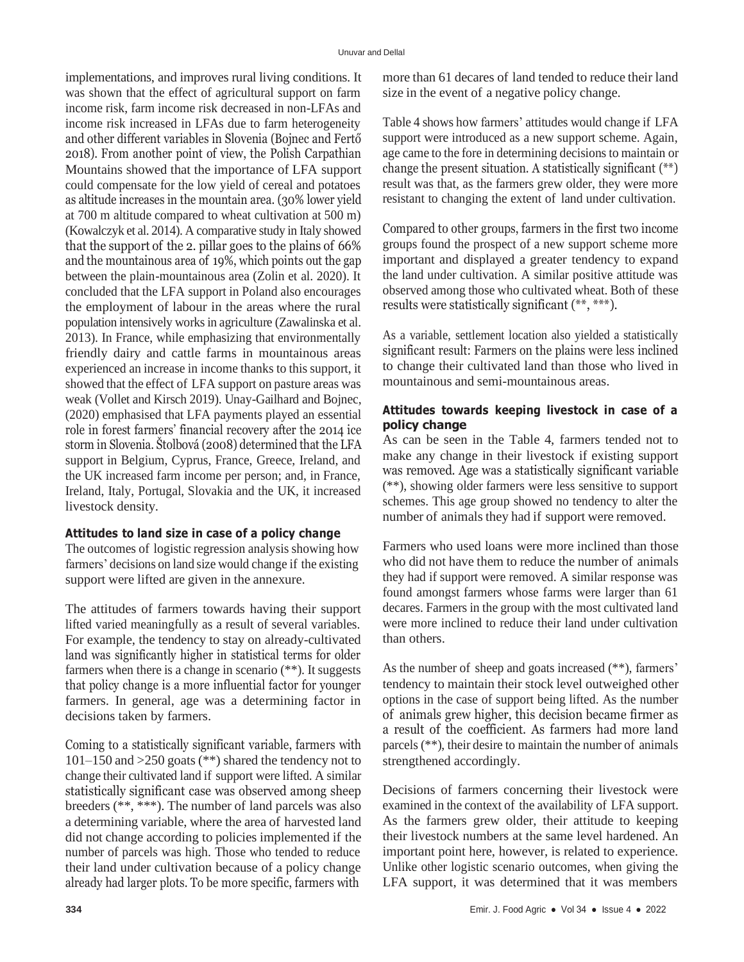implementations, and improves rural living conditions. It was shown that the effect of agricultural support on farm income risk, farm income risk decreased in non-LFAs and income risk increased in LFAs due to farm heterogeneity and other different variables in Slovenia (Bojnec and Fertő 2018). From another point of view, the Polish Carpathian Mountains showed that the importance of LFA support could compensate for the low yield of cereal and potatoes as altitude increases in the mountain area. (30% lower yield at 700 m altitude compared to wheat cultivation at 500 m) (Kowalczyk et al. 2014). A comparative study in Italy showed that the support of the 2. pillar goes to the plains of 66% and the mountainous area of 19%, which points out the gap between the plain-mountainous area (Zolin et al. 2020). It concluded that the LFA support in Poland also encourages the employment of labour in the areas where the rural population intensively worksin agriculture (Zawalinska et al. 2013). In France, while emphasizing that environmentally friendly dairy and cattle farms in mountainous areas experienced an increase in income thanks to this support, it showed that the effect of LFA support on pasture areas was weak (Vollet and Kirsch 2019). Unay-Gailhard and Bojnec, (2020) emphasised that LFA payments played an essential role in forest farmers' financial recovery after the 2014 ice storm in Slovenia. Štolbová (2008) determined that the LFA support in Belgium, Cyprus, France, Greece, Ireland, and the UK increased farm income per person; and, in France, Ireland, Italy, Portugal, Slovakia and the UK, it increased livestock density.

#### **Attitudes to land size in case of a policy change**

The outcomes of logistic regression analysis showing how farmers' decisions on land size would change if the existing support were lifted are given in the annexure.

The attitudes of farmers towards having their support lifted varied meaningfully as a result of several variables. For example, the tendency to stay on already-cultivated land was significantly higher in statistical terms for older farmers when there is a change in scenario (\*\*). It suggests that policy change is a more influential factor for younger farmers. In general, age was a determining factor in decisions taken by farmers.

Coming to a statistically significant variable, farmers with 101–150 and >250 goats (\*\*) shared the tendency not to change their cultivated land if support were lifted. A similar statistically significant case was observed among sheep breeders (\*\*, \*\*\*). The number of land parcels was also a determining variable, where the area of harvested land did not change according to policies implemented if the number of parcels was high. Those who tended to reduce their land under cultivation because of a policy change already had larger plots. To be more specific, farmers with

more than 61 decares of land tended to reduce their land size in the event of a negative policy change.

Table 4 shows how farmers' attitudes would change if LFA support were introduced as a new support scheme. Again, age came to the fore in determining decisions to maintain or change the present situation. A statistically significant (\*\*) result was that, as the farmers grew older, they were more resistant to changing the extent of land under cultivation.

Compared to other groups, farmers in the first two income groups found the prospect of a new support scheme more important and displayed a greater tendency to expand the land under cultivation. A similar positive attitude was observed among those who cultivated wheat. Both of these results were statistically significant (\*\*, \*\*\*).

As a variable, settlement location also yielded a statistically significant result: Farmers on the plains were less inclined to change their cultivated land than those who lived in mountainous and semi-mountainous areas.

## **Attitudes towards keeping livestock in case of a policy change**

As can be seen in the Table 4, farmers tended not to make any change in their livestock if existing support was removed. Age was a statistically significant variable (\*\*), showing older farmers were less sensitive to support schemes. This age group showed no tendency to alter the number of animals they had if support were removed.

Farmers who used loans were more inclined than those who did not have them to reduce the number of animals they had if support were removed. A similar response was found amongst farmers whose farms were larger than 61 decares. Farmers in the group with the most cultivated land were more inclined to reduce their land under cultivation than others.

As the number of sheep and goats increased (\*\*), farmers' tendency to maintain their stock level outweighed other options in the case of support being lifted. As the number of animals grew higher, this decision became firmer as a result of the coefficient. As farmers had more land parcels (\*\*), their desire to maintain the number of animals strengthened accordingly.

Decisions of farmers concerning their livestock were examined in the context of the availability of LFA support. As the farmers grew older, their attitude to keeping their livestock numbers at the same level hardened. An important point here, however, is related to experience. Unlike other logistic scenario outcomes, when giving the LFA support, it was determined that it was members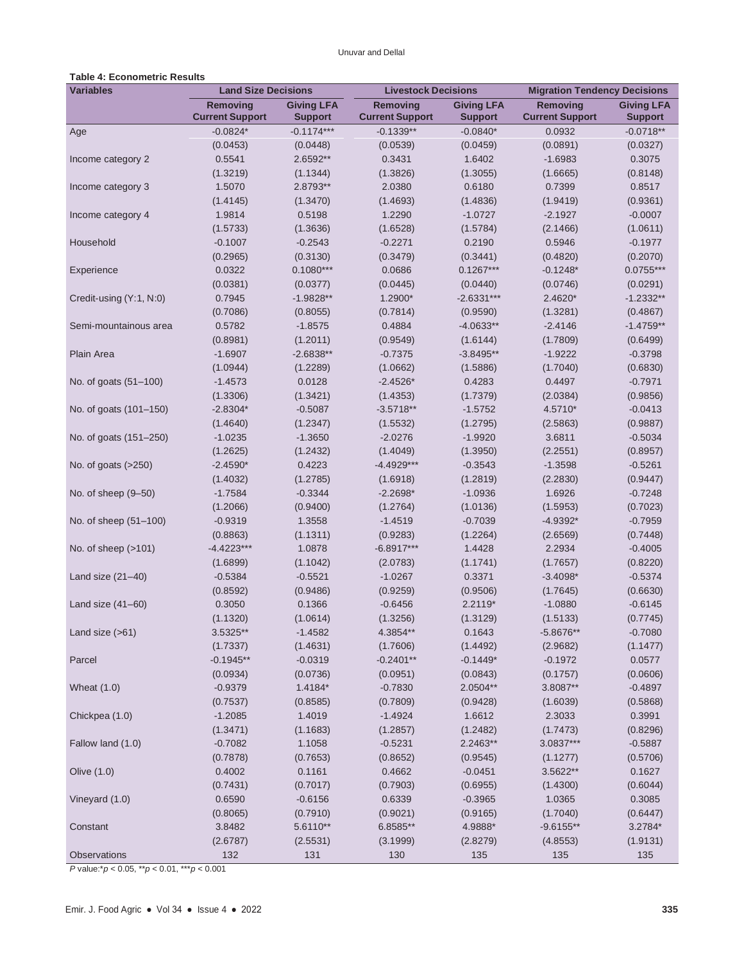## **Table 4: Econometric Results**

| <b>Variables</b>        | <b>Land Size Decisions</b>                |                                     | <b>Livestock Decisions</b>                |                                     | <b>Migration Tendency Decisions</b>       |                                     |
|-------------------------|-------------------------------------------|-------------------------------------|-------------------------------------------|-------------------------------------|-------------------------------------------|-------------------------------------|
|                         | <b>Removing</b><br><b>Current Support</b> | <b>Giving LFA</b><br><b>Support</b> | <b>Removing</b><br><b>Current Support</b> | <b>Giving LFA</b><br><b>Support</b> | <b>Removing</b><br><b>Current Support</b> | <b>Giving LFA</b><br><b>Support</b> |
| Age                     | $-0.0824*$                                | $-0.1174***$                        | $-0.1339**$                               | $-0.0840*$                          | 0.0932                                    | $-0.0718**$                         |
|                         | (0.0453)                                  | (0.0448)                            | (0.0539)                                  | (0.0459)                            | (0.0891)                                  | (0.0327)                            |
| Income category 2       | 0.5541                                    | 2.6592**                            | 0.3431                                    | 1.6402                              | $-1.6983$                                 | 0.3075                              |
|                         | (1.3219)                                  | (1.1344)                            | (1.3826)                                  | (1.3055)                            | (1.6665)                                  | (0.8148)                            |
| Income category 3       | 1.5070                                    | 2.8793**                            | 2.0380                                    | 0.6180                              | 0.7399                                    | 0.8517                              |
|                         | (1.4145)                                  | (1.3470)                            | (1.4693)                                  | (1.4836)                            | (1.9419)                                  | (0.9361)                            |
| Income category 4       | 1.9814                                    | 0.5198                              | 1.2290                                    | $-1.0727$                           | $-2.1927$                                 | $-0.0007$                           |
|                         | (1.5733)                                  | (1.3636)                            | (1.6528)                                  | (1.5784)                            | (2.1466)                                  | (1.0611)                            |
| Household               | $-0.1007$                                 | $-0.2543$                           | $-0.2271$                                 | 0.2190                              | 0.5946                                    | $-0.1977$                           |
|                         | (0.2965)                                  | (0.3130)                            | (0.3479)                                  | (0.3441)                            | (0.4820)                                  | (0.2070)                            |
| Experience              | 0.0322                                    | $0.1080***$                         | 0.0686                                    | $0.1267***$                         | $-0.1248*$                                | $0.0755***$                         |
|                         | (0.0381)                                  | (0.0377)                            | (0.0445)                                  | (0.0440)                            | (0.0746)                                  | (0.0291)                            |
| Credit-using (Y:1, N:0) | 0.7945                                    | $-1.9828**$                         | 1.2900*                                   | $-2.6331***$                        | $2.4620*$                                 | $-1.2332**$                         |
|                         | (0.7086)                                  | (0.8055)                            | (0.7814)                                  | (0.9590)                            | (1.3281)                                  | (0.4867)                            |
| Semi-mountainous area   | 0.5782                                    | $-1.8575$                           | 0.4884                                    | $-4.0633**$                         | $-2.4146$                                 | $-1.4759**$                         |
|                         | (0.8981)                                  | (1.2011)                            | (0.9549)                                  | (1.6144)                            | (1.7809)                                  | (0.6499)                            |
| Plain Area              | $-1.6907$                                 | $-2.6838**$                         | $-0.7375$                                 | $-3.8495**$                         | $-1.9222$                                 | $-0.3798$                           |
|                         | (1.0944)                                  | (1.2289)                            | (1.0662)                                  | (1.5886)                            | (1.7040)                                  | (0.6830)                            |
| No. of goats (51-100)   | $-1.4573$                                 | 0.0128                              | $-2.4526*$                                | 0.4283                              | 0.4497                                    | $-0.7971$                           |
|                         | (1.3306)                                  | (1.3421)                            | (1.4353)                                  | (1.7379)                            | (2.0384)                                  | (0.9856)                            |
| No. of goats (101-150)  | $-2.8304*$                                | $-0.5087$                           | $-3.5718**$                               | $-1.5752$                           | 4.5710*                                   | $-0.0413$                           |
|                         | (1.4640)                                  | (1.2347)                            | (1.5532)                                  | (1.2795)                            | (2.5863)                                  | (0.9887)                            |
| No. of goats (151-250)  | $-1.0235$                                 | $-1.3650$                           | $-2.0276$                                 | $-1.9920$                           | 3.6811                                    | $-0.5034$                           |
|                         | (1.2625)                                  | (1.2432)                            | (1.4049)                                  | (1.3950)                            | (2.2551)                                  | (0.8957)                            |
| No. of goats (>250)     | $-2.4590*$                                | 0.4223                              | $-4.4929***$                              | $-0.3543$                           | $-1.3598$                                 | $-0.5261$                           |
|                         | (1.4032)                                  | (1.2785)                            | (1.6918)                                  | (1.2819)                            | (2.2830)                                  | (0.9447)                            |
| No. of sheep (9-50)     | $-1.7584$                                 | $-0.3344$                           | $-2.2698*$                                | $-1.0936$                           | 1.6926                                    | $-0.7248$                           |
|                         | (1.2066)                                  | (0.9400)                            | (1.2764)                                  | (1.0136)                            | (1.5953)                                  | (0.7023)                            |
| No. of sheep (51-100)   | $-0.9319$                                 | 1.3558                              | $-1.4519$                                 | $-0.7039$                           | $-4.9392*$                                | $-0.7959$                           |
|                         | (0.8863)                                  | (1.1311)                            | (0.9283)                                  | (1.2264)                            | (2.6569)                                  | (0.7448)                            |
| No. of sheep (>101)     | $-4.4223***$                              | 1.0878                              | $-6.8917***$                              | 1.4428                              | 2.2934                                    | $-0.4005$                           |
|                         | (1.6899)                                  | (1.1042)                            | (2.0783)                                  | (1.1741)                            | (1.7657)                                  | (0.8220)                            |
| Land size $(21-40)$     | $-0.5384$                                 | $-0.5521$                           | $-1.0267$                                 | 0.3371                              | $-3.4098*$                                | $-0.5374$                           |
|                         | (0.8592)                                  | (0.9486)                            | (0.9259)                                  | (0.9506)                            | (1.7645)                                  | (0.6630)                            |
| Land size $(41-60)$     | 0.3050                                    | 0.1366                              | $-0.6456$                                 | $2.2119*$                           | $-1.0880$                                 | $-0.6145$                           |
|                         | (1.1320)                                  | (1.0614)                            | (1.3256)                                  | (1.3129)                            | (1.5133)                                  | (0.7745)                            |
| Land size (>61)         | $3.5325**$                                | -1.4582                             | $4.3854**$                                | 0.1643                              | $-5.8676**$                               | -0.7080                             |
|                         | (1.7337)                                  | (1.4631)                            | (1.7606)                                  | (1.4492)                            | (2.9682)                                  | (1.1477)                            |
| Parcel                  | $-0.1945**$                               | $-0.0319$                           | $-0.2401**$                               | $-0.1449*$                          | $-0.1972$                                 | 0.0577                              |
|                         | (0.0934)                                  | (0.0736)                            | (0.0951)                                  | (0.0843)                            | (0.1757)                                  | (0.0606)                            |
| <b>Wheat (1.0)</b>      | $-0.9379$                                 | 1.4184*                             | $-0.7830$                                 | 2.0504**                            | 3.8087**                                  | $-0.4897$                           |
|                         | (0.7537)                                  | (0.8585)                            | (0.7809)                                  | (0.9428)                            | (1.6039)                                  | (0.5868)                            |
| Chickpea (1.0)          | $-1.2085$                                 | 1.4019                              | $-1.4924$                                 | 1.6612                              | 2.3033                                    | 0.3991                              |
|                         | (1.3471)                                  | (1.1683)                            | (1.2857)                                  | (1.2482)                            | (1.7473)                                  | (0.8296)                            |
| Fallow land (1.0)       | $-0.7082$                                 | 1.1058                              | $-0.5231$                                 | 2.2463**                            | 3.0837***                                 | $-0.5887$                           |
|                         | (0.7878)                                  | (0.7653)                            | (0.8652)                                  | (0.9545)                            | (1.1277)                                  | (0.5706)                            |
| Olive (1.0)             | 0.4002                                    | 0.1161                              | 0.4662                                    | $-0.0451$                           | 3.5622**                                  | 0.1627                              |
|                         | (0.7431)                                  | (0.7017)                            | (0.7903)                                  | (0.6955)                            | (1.4300)                                  | (0.6044)                            |
| Vineyard (1.0)          | 0.6590                                    | $-0.6156$                           | 0.6339                                    | $-0.3965$                           | 1.0365                                    | 0.3085                              |
|                         | (0.8065)                                  | (0.7910)                            | (0.9021)                                  | (0.9165)                            | (1.7040)                                  | (0.6447)                            |
| Constant                | 3.8482                                    | 5.6110**                            | 6.8585**                                  | 4.9888*                             | $-9.6155**$                               | 3.2784*                             |
|                         | (2.6787)                                  | (2.5531)                            | (3.1999)                                  | (2.8279)                            | (4.8553)                                  | (1.9131)                            |
| Observations            | 132                                       | 131                                 | 130                                       | 135                                 | 135                                       | 135                                 |

*P* value:\**p* < 0.05, \*\**p* < 0.01, \*\*\**p* < 0.001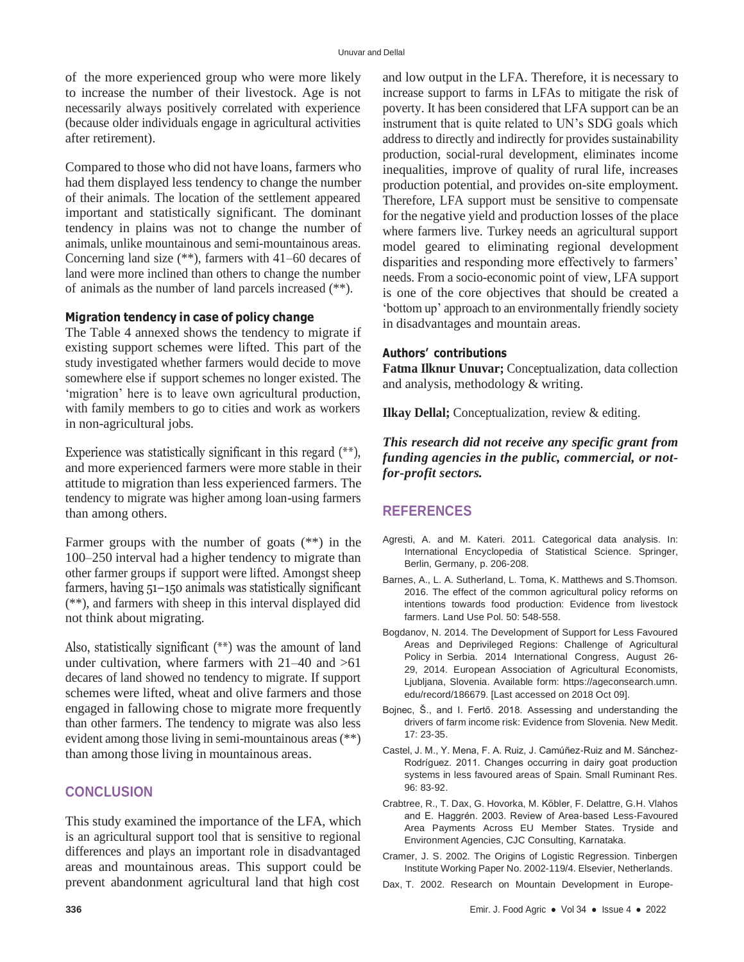of the more experienced group who were more likely to increase the number of their livestock. Age is not necessarily always positively correlated with experience (because older individuals engage in agricultural activities after retirement).

Compared to those who did not have loans, farmers who had them displayed less tendency to change the number of their animals. The location of the settlement appeared important and statistically significant. The dominant tendency in plains was not to change the number of animals, unlike mountainous and semi-mountainous areas. Concerning land size (\*\*), farmers with 41–60 decares of land were more inclined than others to change the number of animals as the number of land parcels increased (\*\*).

#### **Migration tendency in case of policy change**

The Table 4 annexed shows the tendency to migrate if existing support schemes were lifted. This part of the study investigated whether farmers would decide to move somewhere else if support schemes no longer existed. The 'migration' here is to leave own agricultural production, with family members to go to cities and work as workers in non-agricultural jobs.

Experience was statistically significant in this regard (\*\*), and more experienced farmers were more stable in their attitude to migration than less experienced farmers. The tendency to migrate was higher among loan-using farmers than among others.

Farmer groups with the number of goats (\*\*) in the 100–250 interval had a higher tendency to migrate than other farmer groups if support were lifted. Amongst sheep farmers, having 51–150 animals was statistically significant (\*\*), and farmers with sheep in this interval displayed did not think about migrating.

Also, statistically significant (\*\*) was the amount of land under cultivation, where farmers with 21–40 and >61 decares of land showed no tendency to migrate. If support schemes were lifted, wheat and olive farmers and those engaged in fallowing chose to migrate more frequently than other farmers. The tendency to migrate was also less evident among those living in semi-mountainous areas (\*\*) than among those living in mountainous areas.

#### **CONCLUSION**

This study examined the importance of the LFA, which is an agricultural support tool that is sensitive to regional differences and plays an important role in disadvantaged areas and mountainous areas. This support could be prevent abandonment agricultural land that high cost

and low output in the LFA. Therefore, it is necessary to increase support to farms in LFAs to mitigate the risk of poverty. It has been considered that LFA support can be an instrument that is quite related to UN's SDG goals which address to directly and indirectly for provides sustainability production, social-rural development, eliminates income inequalities, improve of quality of rural life, increases production potential, and provides on-site employment. Therefore, LFA support must be sensitive to compensate for the negative yield and production losses of the place where farmers live. Turkey needs an agricultural support model geared to eliminating regional development disparities and responding more effectively to farmers' needs. From a socio-economic point of view, LFA support is one of the core objectives that should be created a 'bottom up' approach to an environmentally friendly society in disadvantages and mountain areas.

#### **Authors' contributions**

**Fatma Ilknur Unuvar;** Conceptualization, data collection and analysis, methodology & writing.

**Ilkay Dellal;** Conceptualization, review & editing.

*This research did not receive any specific grant from funding agencies in the public, commercial, or notfor-profit sectors.*

#### **REFERENCES**

- Agresti, A. and M. Kateri. 2011. Categorical data analysis. In: International Encyclopedia of Statistical Science. Springer, Berlin, Germany, p. 206-208.
- Barnes, A., L. A. Sutherland, L. Toma, K. Matthews and S.Thomson. 2016. The effect of the common agricultural policy reforms on intentions towards food production: Evidence from livestock farmers. Land Use Pol. 50: 548-558.
- Bogdanov, N. 2014. The Development of Support for Less Favoured Areas and Deprivileged Regions: Challenge of Agricultural Policy in Serbia. 2014 International Congress, August 26- 29, 2014. European Association of Agricultural Economists, Ljubljana, Slovenia. Available form: https://ageconsearch.umn. edu/record/186679. [Last accessed on 2018 Oct 09].
- Bojnec, Š., and I. Fertő. 2018. Assessing and understanding the drivers of farm income risk: Evidence from Slovenia. New Medit. 17: 23-35.
- Castel, J. M., Y. Mena, F. A. Ruiz, J. Camúñez-Ruiz and M. Sánchez-Rodríguez. 2011. Changes occurring in dairy goat production systems in less favoured areas of Spain. Small Ruminant Res. 96: 83-92.
- Crabtree, R., T. Dax, G. Hovorka, M. Köbler, F. Delattre, G.H. Vlahos and E. Haggrén. 2003. Review of Area-based Less-Favoured Area Payments Across EU Member States. Tryside and Environment Agencies, CJC Consulting, Karnataka.
- Cramer, J. S. 2002. The Origins of Logistic Regression. Tinbergen Institute Working Paper No. 2002-119/4. Elsevier, Netherlands.
- Dax, T. 2002. Research on Mountain Development in Europe-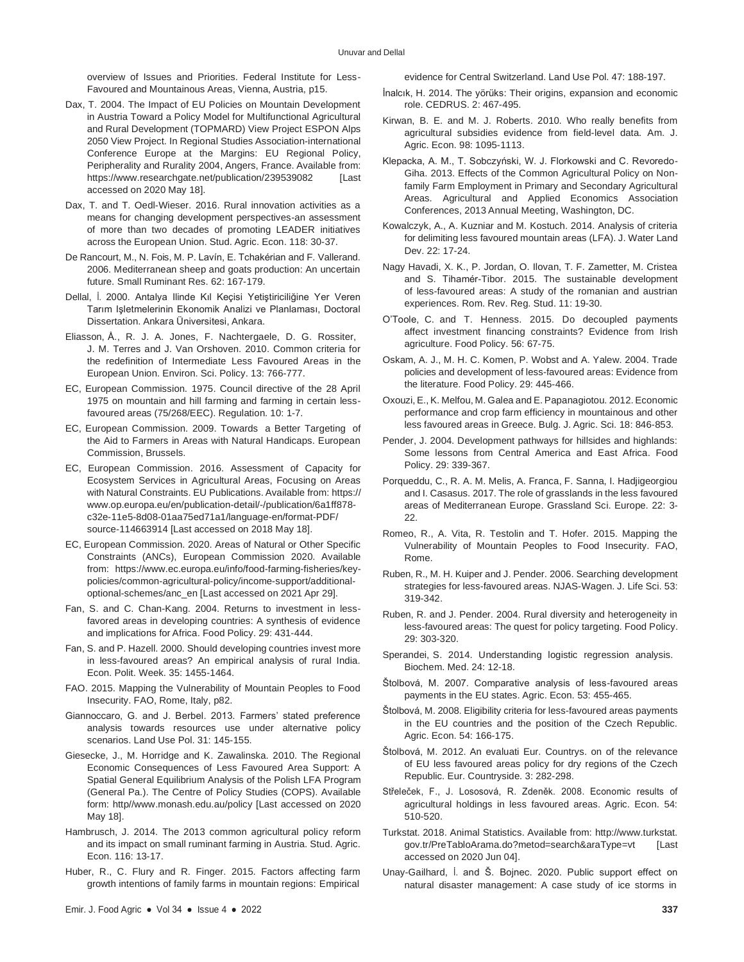overview of Issues and Priorities. Federal Institute for Less-Favoured and Mountainous Areas, Vienna, Austria, p15.

- Dax, T. 2004. The Impact of EU Policies on Mountain Development in Austria Toward a Policy Model for Multifunctional Agricultural and Rural Development (TOPMARD) View Project ESPON Alps 2050 View Project. In Regional Studies Association-international Conference Europe at the Margins: EU Regional Policy, Peripherality and Rurality 2004, Angers, France. Available from: [https://www.researchgate.net/publication/239539082](http://www.researchgate.net/publication/239539082) [Last accessed on 2020 May 18].
- Dax, T. and T. Oedl-Wieser. 2016. Rural innovation activities as a means for changing development perspectives-an assessment of more than two decades of promoting LEADER initiatives across the European Union. Stud. Agric. Econ. 118: 30-37.
- De Rancourt, M., N. Fois, M. P. Lavín, E. Tchakérian and F. Vallerand. 2006. Mediterranean sheep and goats production: An uncertain future. Small Ruminant Res. 62: 167-179.
- Dellal, İ. 2000. Antalya Ilinde Kıl Keçisi Yetiştiriciliğine Yer Veren Tarım Işletmelerinin Ekonomik Analizi ve Planlaması, Doctoral Dissertation. Ankara Üniversitesi, Ankara.
- Eliasson, Å., R. J. A. Jones, F. Nachtergaele, D. G. Rossiter, J. M. Terres and J. Van Orshoven. 2010. Common criteria for the redefinition of Intermediate Less Favoured Areas in the European Union. Environ. Sci. Policy. 13: 766-777.
- EC, European Commission. 1975. Council directive of the 28 April 1975 on mountain and hill farming and farming in certain lessfavoured areas (75/268/EEC). Regulation. 10: 1-7.
- EC, European Commission. 2009. Towards a Better Targeting of the Aid to Farmers in Areas with Natural Handicaps. European Commission, Brussels.
- EC, European Commission. 2016. Assessment of Capacity for Ecosystem Services in Agricultural Areas, Focusing on Areas with Natural Constraints. EU Publications. Available from: https:// [www.op.europa.eu/en/publication-detail/-/publication/6a1ff878](http://www.op.europa.eu/en/publication-detail/-/publication/6a1ff878-) c32e-11e5-8d08-01aa75ed71a1/language-en/format-PDF/ source-114663914 [Last accessed on 2018 May 18].
- EC, European Commission. 2020. Areas of Natural or Other Specific Constraints (ANCs), European Commission 2020. Available from: [https://www.ec.europa.eu/info/food-farming-fisheries/key](http://www.ec.europa.eu/info/food-farming-fisheries/key-)policies/common-agricultural-policy/income-support/additionaloptional-schemes/anc\_en [Last accessed on 2021 Apr 29].
- Fan, S. and C. Chan-Kang. 2004. Returns to investment in lessfavored areas in developing countries: A synthesis of evidence and implications for Africa. Food Policy. 29: 431-444.
- Fan, S. and P. Hazell. 2000. Should developing countries invest more in less-favoured areas? An empirical analysis of rural India. Econ. Polit. Week. 35: 1455-1464.
- FAO. 2015. Mapping the Vulnerability of Mountain Peoples to Food Insecurity. FAO, Rome, Italy, p82.
- Giannoccaro, G. and J. Berbel. 2013. Farmers' stated preference analysis towards resources use under alternative policy scenarios. Land Use Pol. 31: 145-155.
- Giesecke, J., M. Horridge and K. Zawalinska. 2010. The Regional Economic Consequences of Less Favoured Area Support: A Spatial General Equilibrium Analysis of the Polish LFA Program (General Pa.). The Centre of Policy Studies (COPS). Available form: [http//www.monash.edu.au/policy](http://www.monash.edu.au/policy) [Last accessed on 2020 May 18].
- Hambrusch, J. 2014. The 2013 common agricultural policy reform and its impact on small ruminant farming in Austria. Stud. Agric. Econ. 116: 13-17.
- Huber, R., C. Flury and R. Finger. 2015. Factors affecting farm growth intentions of family farms in mountain regions: Empirical

evidence for Central Switzerland. Land Use Pol. 47: 188-197.

- İnalcık, H. 2014. The yörüks: Their origins, expansion and economic role. CEDRUS. 2: 467-495.
- Kirwan, B. E. and M. J. Roberts. 2010. Who really benefits from agricultural subsidies evidence from field-level data. Am. J. Agric. Econ. 98: 1095-1113.
- Klepacka, A. M., T. Sobczyński, W. J. Florkowski and C. Revoredo-Giha. 2013. Effects of the Common Agricultural Policy on Nonfamily Farm Employment in Primary and Secondary Agricultural Areas. Agricultural and Applied Economics Association Conferences, 2013 Annual Meeting, Washington, DC.
- Kowalczyk, A., A. Kuzniar and M. Kostuch. 2014. Analysis of criteria for delimiting less favoured mountain areas (LFA). J. Water Land Dev. 22: 17-24.
- Nagy Havadi, X. K., P. Jordan, O. Ilovan, T. F. Zametter, M. Cristea and S. Tihamér-Tibor. 2015. The sustainable development of less-favoured areas: A study of the romanian and austrian experiences. Rom. Rev. Reg. Stud. 11: 19-30.
- O'Toole, C. and T. Henness. 2015. Do decoupled payments affect investment financing constraints? Evidence from Irish agriculture. Food Policy. 56: 67-75.
- Oskam, A. J., M. H. C. Komen, P. Wobst and A. Yalew. 2004. Trade policies and development of less-favoured areas: Evidence from the literature. Food Policy. 29: 445-466.
- Oxouzi, E., K. Melfou, M. Galea and E. Papanagiotou. 2012. Economic performance and crop farm efficiency in mountainous and other less favoured areas in Greece. Bulg. J. Agric. Sci. 18: 846-853.
- Pender, J. 2004. Development pathways for hillsides and highlands: Some lessons from Central America and East Africa. Food Policy. 29: 339-367.
- Porqueddu, C., R. A. M. Melis, A. Franca, F. Sanna, I. Hadjigeorgiou and I. Casasus. 2017. The role of grasslands in the less favoured areas of Mediterranean Europe. Grassland Sci. Europe. 22: 3- 22.
- Romeo, R., A. Vita, R. Testolin and T. Hofer. 2015. Mapping the Vulnerability of Mountain Peoples to Food Insecurity. FAO, Rome.
- Ruben, R., M. H. Kuiper and J. Pender. 2006. Searching development strategies for less-favoured areas. NJAS-Wagen. J. Life Sci. 53: 319-342.
- Ruben, R. and J. Pender. 2004. Rural diversity and heterogeneity in less-favoured areas: The quest for policy targeting. Food Policy. 29: 303-320.
- Sperandei, S. 2014. Understanding logistic regression analysis. Biochem. Med. 24: 12-18.
- Štolbová, M. 2007. Comparative analysis of less-favoured areas payments in the EU states. Agric. Econ. 53: 455-465.
- Štolbová, M. 2008. Eligibility criteria for less-favoured areas payments in the EU countries and the position of the Czech Republic. Agric. Econ. 54: 166-175.
- Štolbová, M. 2012. An evaluati Eur. Countrys. on of the relevance of EU less favoured areas policy for dry regions of the Czech Republic. Eur. Countryside. 3: 282-298.
- Střeleček, F., J. Lososová, R. Zdeněk. 2008. Economic results of agricultural holdings in less favoured areas. Agric. Econ. 54: 510-520.
- Turkstat. 2018. Animal Statistics. Available from: http://www.turkstat. gov.tr/PreTabloArama.do?metod=search&araType=vt [Last accessed on 2020 Jun 04].
- Unay-Gailhard, İ. and Š. Bojnec. 2020. Public support effect on natural disaster management: A case study of ice storms in